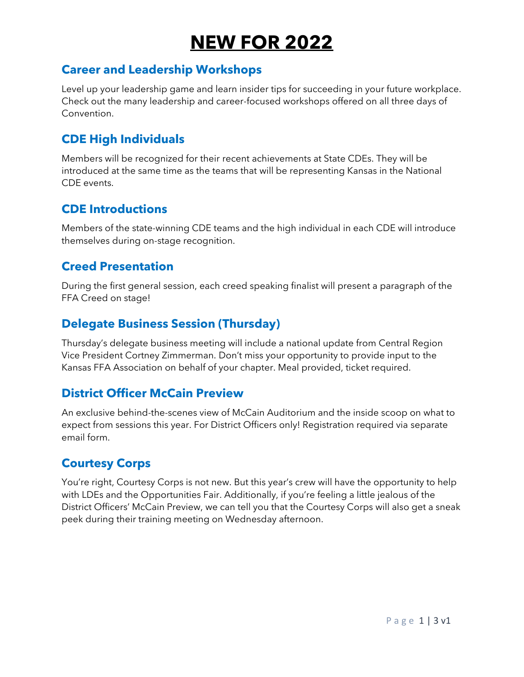# **NEW FOR 2022**

## **Career and Leadership Workshops**

Level up your leadership game and learn insider tips for succeeding in your future workplace. Check out the many leadership and career-focused workshops offered on all three days of Convention.

# **CDE High Individuals**

Members will be recognized for their recent achievements at State CDEs. They will be introduced at the same time as the teams that will be representing Kansas in the National CDE events.

### **CDE Introductions**

Members of the state-winning CDE teams and the high individual in each CDE will introduce themselves during on-stage recognition.

### **Creed Presentation**

During the first general session, each creed speaking finalist will present a paragraph of the FFA Creed on stage!

# **Delegate Business Session (Thursday)**

Thursday's delegate business meeting will include a national update from Central Region Vice President Cortney Zimmerman. Don't miss your opportunity to provide input to the Kansas FFA Association on behalf of your chapter. Meal provided, ticket required.

# **District Officer McCain Preview**

An exclusive behind-the-scenes view of McCain Auditorium and the inside scoop on what to expect from sessions this year. For District Officers only! Registration required via separate email form.

# **Courtesy Corps**

You're right, Courtesy Corps is not new. But this year's crew will have the opportunity to help with LDEs and the Opportunities Fair. Additionally, if you're feeling a little jealous of the District Officers' McCain Preview, we can tell you that the Courtesy Corps will also get a sneak peek during their training meeting on Wednesday afternoon.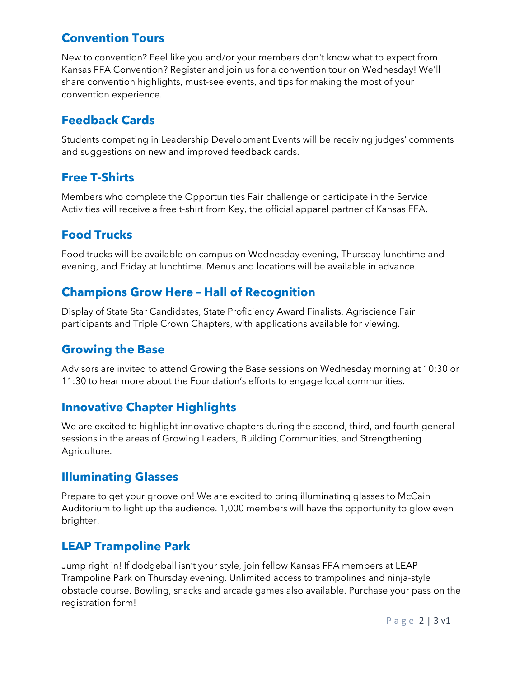## **Convention Tours**

New to convention? Feel like you and/or your members don't know what to expect from Kansas FFA Convention? Register and join us for a convention tour on Wednesday! We'll share convention highlights, must-see events, and tips for making the most of your convention experience.

## **Feedback Cards**

Students competing in Leadership Development Events will be receiving judges' comments and suggestions on new and improved feedback cards.

### **Free T-Shirts**

Members who complete the Opportunities Fair challenge or participate in the Service Activities will receive a free t-shirt from Key, the official apparel partner of Kansas FFA.

### **Food Trucks**

Food trucks will be available on campus on Wednesday evening, Thursday lunchtime and evening, and Friday at lunchtime. Menus and locations will be available in advance.

## **Champions Grow Here – Hall of Recognition**

Display of State Star Candidates, State Proficiency Award Finalists, Agriscience Fair participants and Triple Crown Chapters, with applications available for viewing.

### **Growing the Base**

Advisors are invited to attend Growing the Base sessions on Wednesday morning at 10:30 or 11:30 to hear more about the Foundation's efforts to engage local communities.

# **Innovative Chapter Highlights**

We are excited to highlight innovative chapters during the second, third, and fourth general sessions in the areas of Growing Leaders, Building Communities, and Strengthening Agriculture.

# **Illuminating Glasses**

Prepare to get your groove on! We are excited to bring illuminating glasses to McCain Auditorium to light up the audience. 1,000 members will have the opportunity to glow even brighter!

### **LEAP Trampoline Park**

Jump right in! If dodgeball isn't your style, join fellow Kansas FFA members at LEAP Trampoline Park on Thursday evening. Unlimited access to trampolines and ninja-style obstacle course. Bowling, snacks and arcade games also available. Purchase your pass on the registration form!